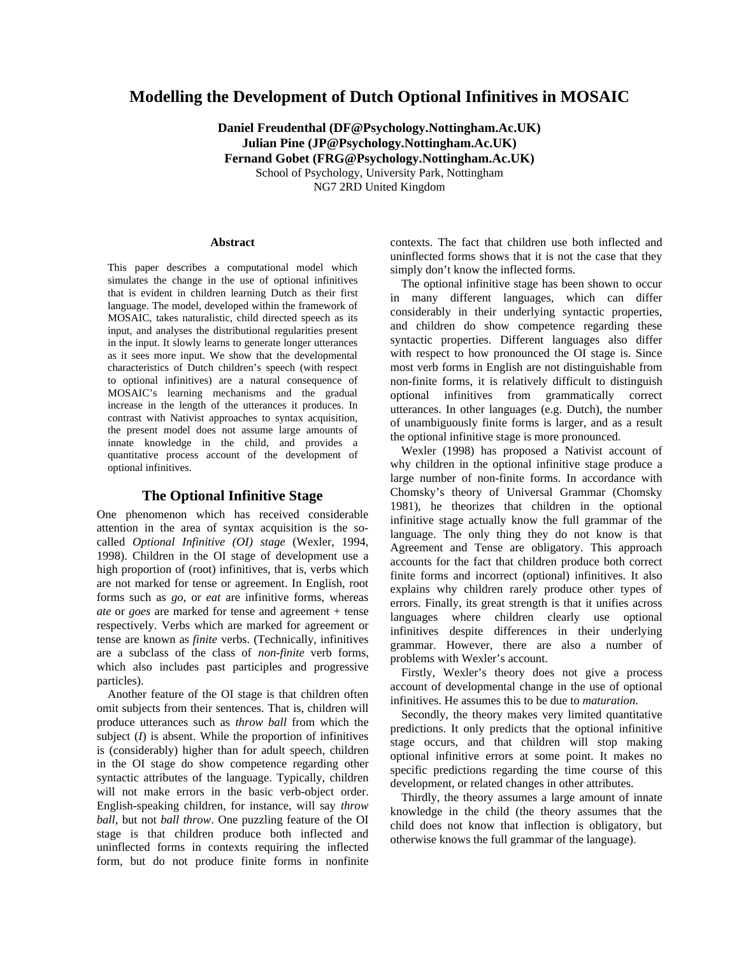# **Modelling the Development of Dutch Optional Infinitives in MOSAIC**

**Daniel Freudenthal [\(DF@Psychology.Nottingham.Ac.UK\)](mailto:DF@Psychology.Nottingham.Ac.UK) Julian Pine [\(JP@Psychology.Nottingham.Ac.UK\)](mailto:JP@Psychology.Nottingham.Ac.UK) Fernand Gobet [\(FRG@Psychology.Nottingham.Ac.UK\)](mailto:FRG@Psychology.Nottingham.Ac.UK)** School of Psychology, University Park, Nottingham

NG7 2RD United Kingdom

#### **Abstract**

This paper describes a computational model which simulates the change in the use of optional infinitives that is evident in children learning Dutch as their first language. The model, developed within the framework of MOSAIC, takes naturalistic, child directed speech as its input, and analyses the distributional regularities present in the input. It slowly learns to generate longer utterances as it sees more input. We show that the developmental characteristics of Dutch children's speech (with respect to optional infinitives) are a natural consequence of MOSAIC's learning mechanisms and the gradual increase in the length of the utterances it produces. In contrast with Nativist approaches to syntax acquisition, the present model does not assume large amounts of innate knowledge in the child, and provides a quantitative process account of the development of optional infinitives.

#### **The Optional Infinitive Stage**

One phenomenon which has received considerable attention in the area of syntax acquisition is the socalled *Optional Infinitive (OI) stage* (Wexler, 1994, 1998). Children in the OI stage of development use a high proportion of (root) infinitives, that is, verbs which are not marked for tense or agreement. In English, root forms such as *go*, or *eat* are infinitive forms, whereas *ate* or *goes* are marked for tense and agreement + tense respectively. Verbs which are marked for agreement or tense are known as *finite* verbs. (Technically, infinitives are a subclass of the class of *non-finite* verb forms, which also includes past participles and progressive particles).

Another feature of the OI stage is that children often omit subjects from their sentences. That is, children will produce utterances such as *throw ball* from which the subject  $(I)$  is absent. While the proportion of infinitives is (considerably) higher than for adult speech, children in the OI stage do show competence regarding other syntactic attributes of the language. Typically, children will not make errors in the basic verb-object order. English-speaking children, for instance, will say *throw ball*, but not *ball throw*. One puzzling feature of the OI stage is that children produce both inflected and uninflected forms in contexts requiring the inflected form, but do not produce finite forms in nonfinite

contexts. The fact that children use both inflected and uninflected forms shows that it is not the case that they simply don't know the inflected forms.

The optional infinitive stage has been shown to occur in many different languages, which can differ considerably in their underlying syntactic properties, and children do show competence regarding these syntactic properties. Different languages also differ with respect to how pronounced the OI stage is. Since most verb forms in English are not distinguishable from non-finite forms, it is relatively difficult to distinguish optional infinitives from grammatically correct utterances. In other languages (e.g. Dutch), the number of unambiguously finite forms is larger, and as a result the optional infinitive stage is more pronounced.

Wexler (1998) has proposed a Nativist account of why children in the optional infinitive stage produce a large number of non-finite forms. In accordance with Chomsky's theory of Universal Grammar (Chomsky 1981), he theorizes that children in the optional infinitive stage actually know the full grammar of the language. The only thing they do not know is that Agreement and Tense are obligatory. This approach accounts for the fact that children produce both correct finite forms and incorrect (optional) infinitives. It also explains why children rarely produce other types of errors. Finally, its great strength is that it unifies across languages where children clearly use optional infinitives despite differences in their underlying grammar. However, there are also a number of problems with Wexler's account.

Firstly, Wexler's theory does not give a process account of developmental change in the use of optional infinitives. He assumes this to be due to *maturation*.

Secondly, the theory makes very limited quantitative predictions. It only predicts that the optional infinitive stage occurs, and that children will stop making optional infinitive errors at some point. It makes no specific predictions regarding the time course of this development, or related changes in other attributes.

Thirdly, the theory assumes a large amount of innate knowledge in the child (the theory assumes that the child does not know that inflection is obligatory, but otherwise knows the full grammar of the language).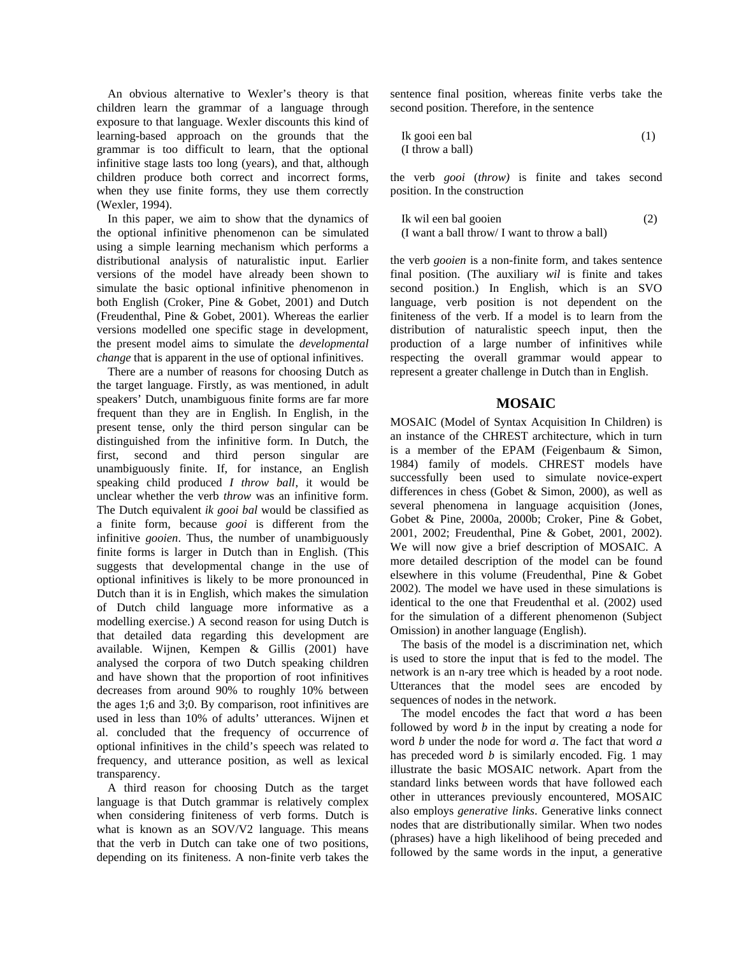An obvious alternative to Wexler's theory is that children learn the grammar of a language through exposure to that language. Wexler discounts this kind of learning-based approach on the grounds that the grammar is too difficult to learn, that the optional infinitive stage lasts too long (years), and that, although children produce both correct and incorrect forms, when they use finite forms, they use them correctly (Wexler, 1994).

In this paper, we aim to show that the dynamics of the optional infinitive phenomenon can be simulated using a simple learning mechanism which performs a distributional analysis of naturalistic input. Earlier versions of the model have already been shown to simulate the basic optional infinitive phenomenon in both English (Croker, Pine & Gobet, 2001) and Dutch (Freudenthal, Pine & Gobet, 2001). Whereas the earlier versions modelled one specific stage in development, the present model aims to simulate the *developmental change* that is apparent in the use of optional infinitives.

There are a number of reasons for choosing Dutch as the target language. Firstly, as was mentioned, in adult speakers' Dutch, unambiguous finite forms are far more frequent than they are in English. In English, in the present tense, only the third person singular can be distinguished from the infinitive form. In Dutch, the first, second and third person singular are unambiguously finite. If, for instance, an English speaking child produced *I throw ball*, it would be unclear whether the verb *throw* was an infinitive form. The Dutch equivalent *ik gooi bal* would be classified as a finite form, because *gooi* is different from the infinitive *gooien*. Thus, the number of unambiguously finite forms is larger in Dutch than in English. (This suggests that developmental change in the use of optional infinitives is likely to be more pronounced in Dutch than it is in English, which makes the simulation of Dutch child language more informative as a modelling exercise.) A second reason for using Dutch is that detailed data regarding this development are available. Wijnen, Kempen & Gillis (2001) have analysed the corpora of two Dutch speaking children and have shown that the proportion of root infinitives decreases from around 90% to roughly 10% between the ages 1;6 and 3;0. By comparison, root infinitives are used in less than 10% of adults' utterances. Wijnen et al. concluded that the frequency of occurrence of optional infinitives in the child's speech was related to frequency, and utterance position, as well as lexical transparency.

A third reason for choosing Dutch as the target language is that Dutch grammar is relatively complex when considering finiteness of verb forms. Dutch is what is known as an SOV/V2 language. This means that the verb in Dutch can take one of two positions, depending on its finiteness. A non-finite verb takes the

sentence final position, whereas finite verbs take the second position. Therefore, in the sentence

$$
Ik \text{ good een bal} \tag{1}
$$
\n
$$
(I \text{ throw a ball})
$$

the verb *gooi* (*throw)* is finite and takes second position. In the construction

Ik wil een bal gooien (2) (I want a ball throw/ I want to throw a ball)

the verb *gooien* is a non-finite form, and takes sentence final position. (The auxiliary *wil* is finite and takes second position.) In English, which is an SVO language, verb position is not dependent on the finiteness of the verb. If a model is to learn from the distribution of naturalistic speech input, then the production of a large number of infinitives while respecting the overall grammar would appear to represent a greater challenge in Dutch than in English.

## **MOSAIC**

MOSAIC (Model of Syntax Acquisition In Children) is an instance of the CHREST architecture, which in turn is a member of the EPAM (Feigenbaum & Simon, 1984) family of models. CHREST models have successfully been used to simulate novice-expert differences in chess (Gobet & Simon, 2000), as well as several phenomena in language acquisition (Jones, Gobet & Pine, 2000a, 2000b; Croker, Pine & Gobet, 2001, 2002; Freudenthal, Pine & Gobet, 2001, 2002). We will now give a brief description of MOSAIC. A more detailed description of the model can be found elsewhere in this volume (Freudenthal, Pine & Gobet 2002). The model we have used in these simulations is identical to the one that Freudenthal et al. (2002) used for the simulation of a different phenomenon (Subject Omission) in another language (English).

The basis of the model is a discrimination net, which is used to store the input that is fed to the model. The network is an n-ary tree which is headed by a root node. Utterances that the model sees are encoded by sequences of nodes in the network.

The model encodes the fact that word *a* has been followed by word *b* in the input by creating a node for word *b* under the node for word *a*. The fact that word *a* has preceded word *b* is similarly encoded. Fig. 1 may illustrate the basic MOSAIC network. Apart from the standard links between words that have followed each other in utterances previously encountered, MOSAIC also employs *generative links*. Generative links connect nodes that are distributionally similar. When two nodes (phrases) have a high likelihood of being preceded and followed by the same words in the input, a generative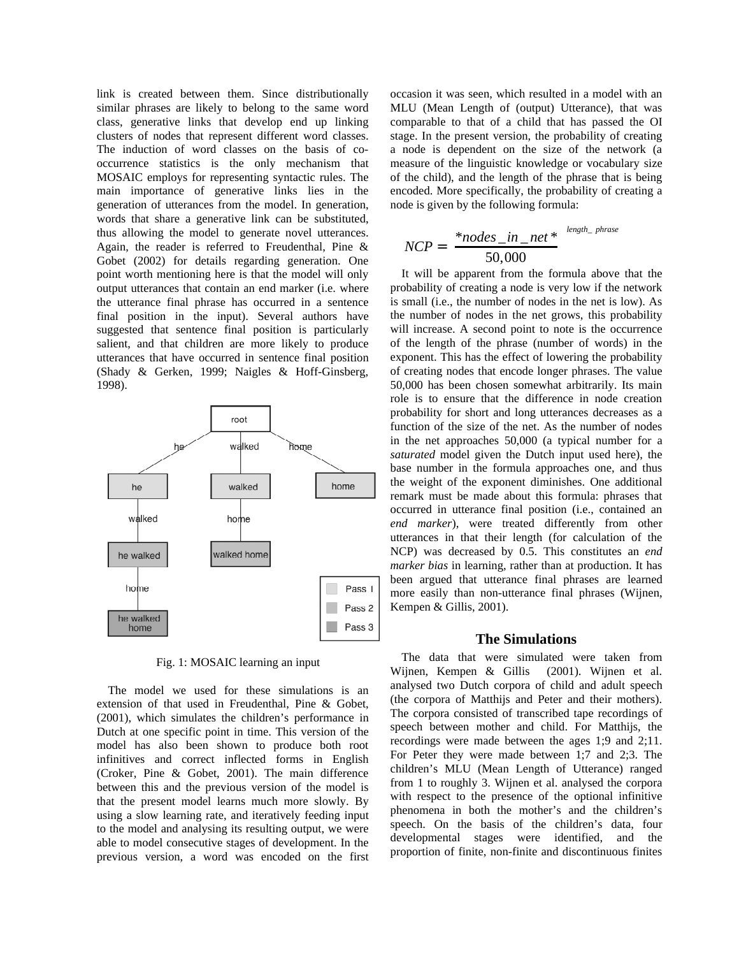link is created between them. Since distributionally similar phrases are likely to belong to the same word class, generative links that develop end up linking clusters of nodes that represent different word classes. The induction of word classes on the basis of cooccurrence statistics is the only mechanism that MOSAIC employs for representing syntactic rules. The main importance of generative links lies in the generation of utterances from the model. In generation, words that share a generative link can be substituted, thus allowing the model to generate novel utterances. Again, the reader is referred to Freudenthal, Pine & Gobet (2002) for details regarding generation. One point worth mentioning here is that the model will only output utterances that contain an end marker (i.e. where the utterance final phrase has occurred in a sentence final position in the input). Several authors have suggested that sentence final position is particularly salient, and that children are more likely to produce utterances that have occurred in sentence final position (Shady & Gerken, 1999; Naigles & Hoff-Ginsberg, 1998).



Fig. 1: MOSAIC learning an input

The model we used for these simulations is an extension of that used in Freudenthal, Pine & Gobet, (2001), which simulates the children's performance in Dutch at one specific point in time. This version of the model has also been shown to produce both root infinitives and correct inflected forms in English (Croker, Pine & Gobet, 2001). The main difference between this and the previous version of the model is that the present model learns much more slowly. By using a slow learning rate, and iteratively feeding input to the model and analysing its resulting output, we were able to model consecutive stages of development. In the previous version, a word was encoded on the first

occasion it was seen, which resulted in a model with an MLU (Mean Length of (output) Utterance), that was comparable to that of a child that has passed the OI stage. In the present version, the probability of creating a node is dependent on the size of the network (a measure of the linguistic knowledge or vocabulary size of the child), and the length of the phrase that is being encoded. More specifically, the probability of creating a node is given by the following formula:

$$
NCP = \left(\frac{*nodes\_in\_net*}{50,000}\right)^{length\_phrase}
$$

It will be apparent from the formula above that the probability of creating a node is very low if the network is small (i.e., the number of nodes in the net is low). As the number of nodes in the net grows, this probability will increase. A second point to note is the occurrence of the length of the phrase (number of words) in the exponent. This has the effect of lowering the probability of creating nodes that encode longer phrases. The value 50,000 has been chosen somewhat arbitrarily. Its main role is to ensure that the difference in node creation probability for short and long utterances decreases as a function of the size of the net. As the number of nodes in the net approaches 50,000 (a typical number for a *saturated* model given the Dutch input used here), the base number in the formula approaches one, and thus the weight of the exponent diminishes. One additional remark must be made about this formula: phrases that occurred in utterance final position (i.e., contained an *end marker*), were treated differently from other utterances in that their length (for calculation of the NCP) was decreased by 0.5. This constitutes an *end marker bias* in learning, rather than at production. It has been argued that utterance final phrases are learned more easily than non-utterance final phrases (Wijnen, Kempen & Gillis, 2001).

#### **The Simulations**

The data that were simulated were taken from Wijnen, Kempen & Gillis (2001). Wijnen et al. analysed two Dutch corpora of child and adult speech (the corpora of Matthijs and Peter and their mothers). The corpora consisted of transcribed tape recordings of speech between mother and child. For Matthijs, the recordings were made between the ages 1;9 and 2;11. For Peter they were made between 1;7 and 2;3. The children's MLU (Mean Length of Utterance) ranged from 1 to roughly 3. Wijnen et al. analysed the corpora with respect to the presence of the optional infinitive phenomena in both the mother's and the children's speech. On the basis of the children's data, four developmental stages were identified, and the proportion of finite, non-finite and discontinuous finites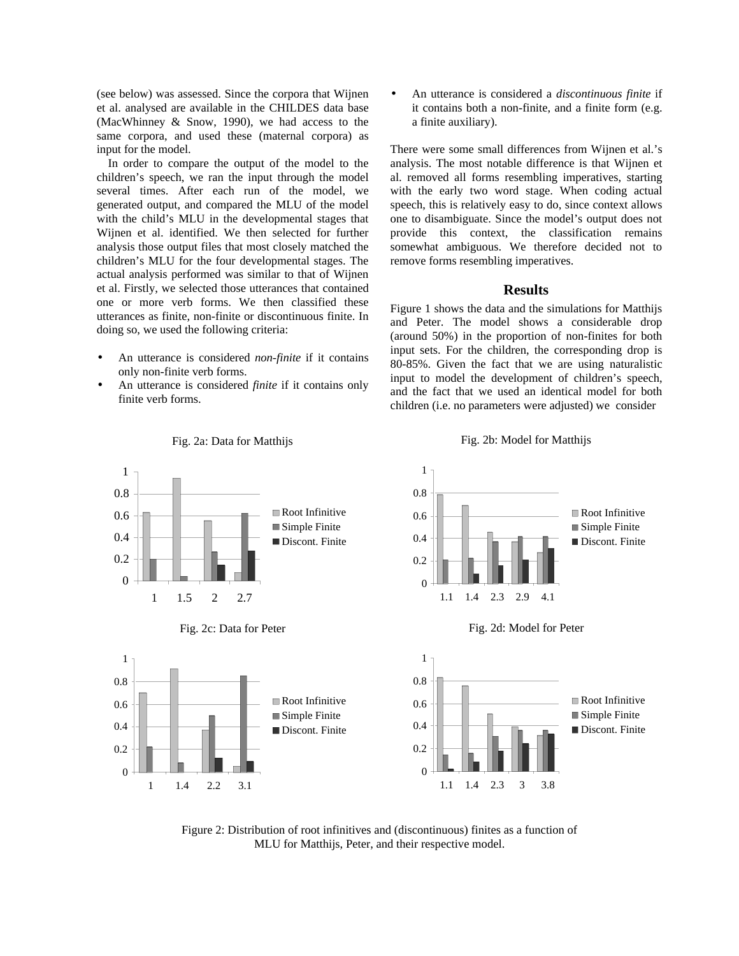(see below) was assessed. Since the corpora that Wijnen et al. analysed are available in the CHILDES data base (MacWhinney & Snow, 1990), we had access to the same corpora, and used these (maternal corpora) as input for the model.

In order to compare the output of the model to the children's speech, we ran the input through the model several times. After each run of the model, we generated output, and compared the MLU of the model with the child's MLU in the developmental stages that Wijnen et al. identified. We then selected for further analysis those output files that most closely matched the children's MLU for the four developmental stages. The actual analysis performed was similar to that of Wijnen et al. Firstly, we selected those utterances that contained one or more verb forms. We then classified these utterances as finite, non-finite or discontinuous finite. In doing so, we used the following criteria:

- An utterance is considered *non-finite* if it contains only non-finite verb forms.
- An utterance is considered *finite* if it contains only finite verb forms.

• An utterance is considered a *discontinuous finite* if it contains both a non-finite, and a finite form (e.g. a finite auxiliary).

There were some small differences from Wijnen et al.'s analysis. The most notable difference is that Wijnen et al. removed all forms resembling imperatives, starting with the early two word stage. When coding actual speech, this is relatively easy to do, since context allows one to disambiguate. Since the model's output does not provide this context, the classification remains somewhat ambiguous. We therefore decided not to remove forms resembling imperatives.

### **Results**

Figure 1 shows the data and the simulations for Matthijs and Peter. The model shows a considerable drop (around 50%) in the proportion of non-finites for both input sets. For the children, the corresponding drop is 80-85%. Given the fact that we are using naturalistic input to model the development of children's speech, and the fact that we used an identical model for both children (i.e. no parameters were adjusted) we consider



Fig. 2a: Data for Matthijs

Fig. 2b: Model for Matthijs

Figure 2: Distribution of root infinitives and (discontinuous) finites as a function of MLU for Matthijs, Peter, and their respective model.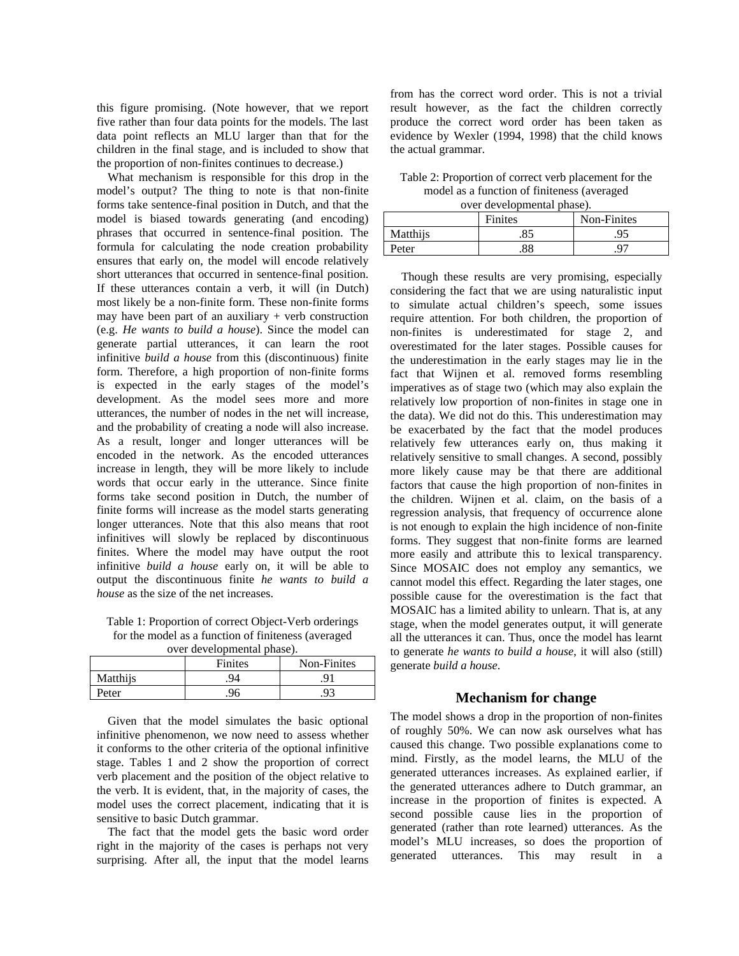this figure promising. (Note however, that we report five rather than four data points for the models. The last data point reflects an MLU larger than that for the children in the final stage, and is included to show that the proportion of non-finites continues to decrease.)

What mechanism is responsible for this drop in the model's output? The thing to note is that non-finite forms take sentence-final position in Dutch, and that the model is biased towards generating (and encoding) phrases that occurred in sentence-final position. The formula for calculating the node creation probability ensures that early on, the model will encode relatively short utterances that occurred in sentence-final position. If these utterances contain a verb, it will (in Dutch) most likely be a non-finite form. These non-finite forms may have been part of an auxiliary  $+$  verb construction (e.g. *He wants to build a house*). Since the model can generate partial utterances, it can learn the root infinitive *build a house* from this (discontinuous) finite form. Therefore, a high proportion of non-finite forms is expected in the early stages of the model's development. As the model sees more and more utterances, the number of nodes in the net will increase, and the probability of creating a node will also increase. As a result, longer and longer utterances will be encoded in the network. As the encoded utterances increase in length, they will be more likely to include words that occur early in the utterance. Since finite forms take second position in Dutch, the number of finite forms will increase as the model starts generating longer utterances. Note that this also means that root infinitives will slowly be replaced by discontinuous finites. Where the model may have output the root infinitive *build a house* early on, it will be able to output the discontinuous finite *he wants to build a house* as the size of the net increases.

Table 1: Proportion of correct Object-Verb orderings for the model as a function of finiteness (averaged over developmental phase).

| $0.01$ avertical primeries $\mu$ |         |             |
|----------------------------------|---------|-------------|
|                                  | Finites | Non-Finites |
| Matthiis                         | 94      |             |
| Peter                            |         | .93         |

Given that the model simulates the basic optional infinitive phenomenon, we now need to assess whether it conforms to the other criteria of the optional infinitive stage. Tables 1 and 2 show the proportion of correct verb placement and the position of the object relative to the verb. It is evident, that, in the majority of cases, the model uses the correct placement, indicating that it is sensitive to basic Dutch grammar.

The fact that the model gets the basic word order right in the majority of the cases is perhaps not very surprising. After all, the input that the model learns

from has the correct word order. This is not a trivial result however, as the fact the children correctly produce the correct word order has been taken as evidence by Wexler (1994, 1998) that the child knows the actual grammar.

Table 2: Proportion of correct verb placement for the model as a function of finiteness (averaged over developmental phase).

|          | <b>Finites</b> | Non-Finites |
|----------|----------------|-------------|
| Matthijs |                | 95          |
| Peter    |                | $Q^{\pi}$   |

Though these results are very promising, especially considering the fact that we are using naturalistic input to simulate actual children's speech, some issues require attention. For both children, the proportion of non-finites is underestimated for stage 2, and overestimated for the later stages. Possible causes for the underestimation in the early stages may lie in the fact that Wijnen et al. removed forms resembling imperatives as of stage two (which may also explain the relatively low proportion of non-finites in stage one in the data). We did not do this. This underestimation may be exacerbated by the fact that the model produces relatively few utterances early on, thus making it relatively sensitive to small changes. A second, possibly more likely cause may be that there are additional factors that cause the high proportion of non-finites in the children. Wijnen et al. claim, on the basis of a regression analysis, that frequency of occurrence alone is not enough to explain the high incidence of non-finite forms. They suggest that non-finite forms are learned more easily and attribute this to lexical transparency. Since MOSAIC does not employ any semantics, we cannot model this effect. Regarding the later stages, one possible cause for the overestimation is the fact that MOSAIC has a limited ability to unlearn. That is, at any stage, when the model generates output, it will generate all the utterances it can. Thus, once the model has learnt to generate *he wants to build a house*, it will also (still) generate *build a house*.

# **Mechanism for change**

The model shows a drop in the proportion of non-finites of roughly 50%. We can now ask ourselves what has caused this change. Two possible explanations come to mind. Firstly, as the model learns, the MLU of the generated utterances increases. As explained earlier, if the generated utterances adhere to Dutch grammar, an increase in the proportion of finites is expected. A second possible cause lies in the proportion of generated (rather than rote learned) utterances. As the model's MLU increases, so does the proportion of generated utterances. This may result in a